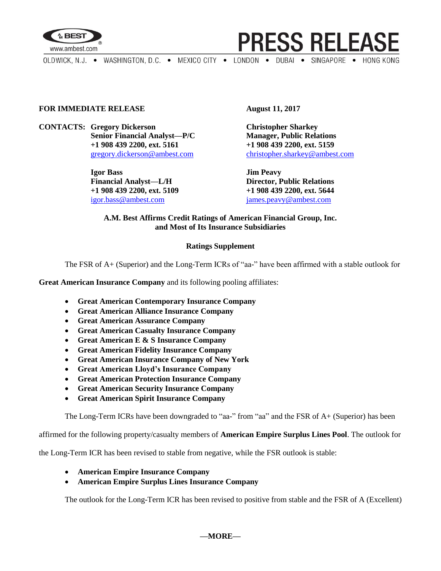

**PRESS RELEASE** 

OLDWICK, N.J. . WASHINGTON, D.C. . MEXICO CITY . LONDON . DUBAI . SINGAPORE . HONG KONG

## **FOR IMMEDIATE RELEASE August 11, 2017**

**CONTACTS: Gregory Dickerson Christopher Sharkey Senior Financial Analyst—P/C Manager, Public Relations +1 908 439 2200, ext. 5161 +1 908 439 2200, ext. 5159**

> **Igor Bass Jim Peavy Financial Analyst—L/H Director, Public Relations +1 908 439 2200, ext. 5109 +1 908 439 2200, ext. 5644** [igor.bass@ambest.com](mailto:igor.bass@ambest.com) [james.peavy@ambest.com](mailto:james.peavy@ambest.com)

[gregory.dickerson@ambest.com](mailto:gregory.dickerson@ambest.com) [christopher.sharkey@ambest.com](mailto:christopher.sharkey@ambest.com)

## **A.M. Best Affirms Credit Ratings of American Financial Group, Inc. and Most of Its Insurance Subsidiaries**

## **Ratings Supplement**

The FSR of A+ (Superior) and the Long-Term ICRs of "aa-" have been affirmed with a stable outlook for

**Great American Insurance Company** and its following pooling affiliates:

- **Great American Contemporary Insurance Company**
- **Great American Alliance Insurance Company**
- **Great American Assurance Company**
- **Great American Casualty Insurance Company**
- **Great American E & S Insurance Company**
- **Great American Fidelity Insurance Company**
- **Great American Insurance Company of New York**
- **Great American Lloyd's Insurance Company**
- **Great American Protection Insurance Company**
- **Great American Security Insurance Company**
- **Great American Spirit Insurance Company**

The Long-Term ICRs have been downgraded to "aa-" from "aa" and the FSR of A+ (Superior) has been

affirmed for the following property/casualty members of **American Empire Surplus Lines Pool**. The outlook for

the Long-Term ICR has been revised to stable from negative, while the FSR outlook is stable:

- **American Empire Insurance Company**
- **American Empire Surplus Lines Insurance Company**

The outlook for the Long-Term ICR has been revised to positive from stable and the FSR of A (Excellent)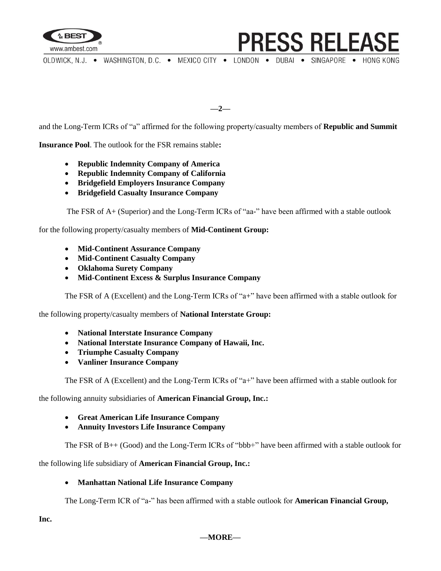

OLDWICK, N.J. . WASHINGTON, D.C. . MEXICO CITY . LONDON . DUBAI . SINGAPORE . HONG KONG

**PRESS RELEASE** 

**—2—**

and the Long-Term ICRs of "a" affirmed for the following property/casualty members of **Republic and Summit** 

**Insurance Pool**. The outlook for the FSR remains stable**:**

- **Republic Indemnity Company of America**
- **Republic Indemnity Company of California**
- **Bridgefield Employers Insurance Company**
- **Bridgefield Casualty Insurance Company**

The FSR of A+ (Superior) and the Long-Term ICRs of "aa-" have been affirmed with a stable outlook

for the following property/casualty members of **Mid-Continent Group:** 

- **Mid-Continent Assurance Company**
- **Mid-Continent Casualty Company**
- **Oklahoma Surety Company**
- **Mid-Continent Excess & Surplus Insurance Company**

The FSR of A (Excellent) and the Long-Term ICRs of "a+" have been affirmed with a stable outlook for

the following property/casualty members of **National Interstate Group:** 

- **National Interstate Insurance Company**
- **National Interstate Insurance Company of Hawaii, Inc.**
- **Triumphe Casualty Company**
- **Vanliner Insurance Company**

The FSR of A (Excellent) and the Long-Term ICRs of "a+" have been affirmed with a stable outlook for

the following annuity subsidiaries of **American Financial Group, Inc.:**

- **Great American Life Insurance Company**
- **Annuity Investors Life Insurance Company**

The FSR of B++ (Good) and the Long-Term ICRs of "bbb+" have been affirmed with a stable outlook for

the following life subsidiary of **American Financial Group, Inc.:**

#### **Manhattan National Life Insurance Company**

The Long-Term ICR of "a-" has been affirmed with a stable outlook for **American Financial Group,** 

**Inc.**